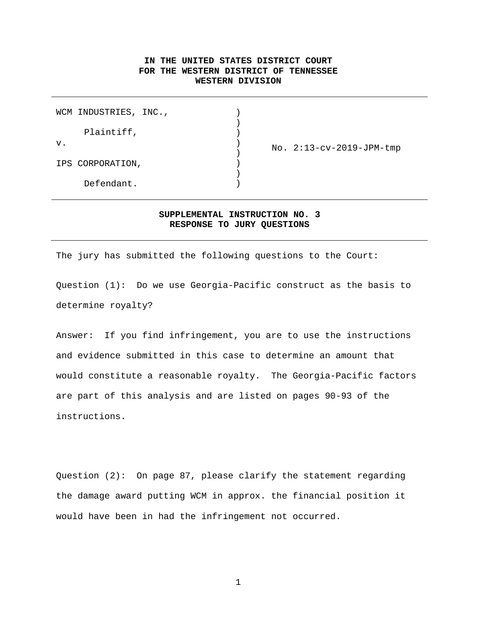## **IN THE UNITED STATES DISTRICT COURT FOR THE WESTERN DISTRICT OF TENNESSEE WESTERN DIVISION**

|    | WCM INDUSTRIES, INC., |  |                          |
|----|-----------------------|--|--------------------------|
|    | Plaintiff,            |  |                          |
| v. |                       |  | No. 2:13-cv-2019-JPM-tmp |
|    | IPS CORPORATION,      |  |                          |
|    | Defendant.            |  |                          |

## **SUPPLEMENTAL INSTRUCTION NO. 3 RESPONSE TO JURY QUESTIONS**

The jury has submitted the following questions to the Court:

Question (1): Do we use Georgia-Pacific construct as the basis to determine royalty?

Answer: If you find infringement, you are to use the instructions and evidence submitted in this case to determine an amount that would constitute a reasonable royalty. The Georgia-Pacific factors are part of this analysis and are listed on pages 90-93 of the instructions.

Question (2): On page 87, please clarify the statement regarding the damage award putting WCM in approx. the financial position it would have been in had the infringement not occurred.

1